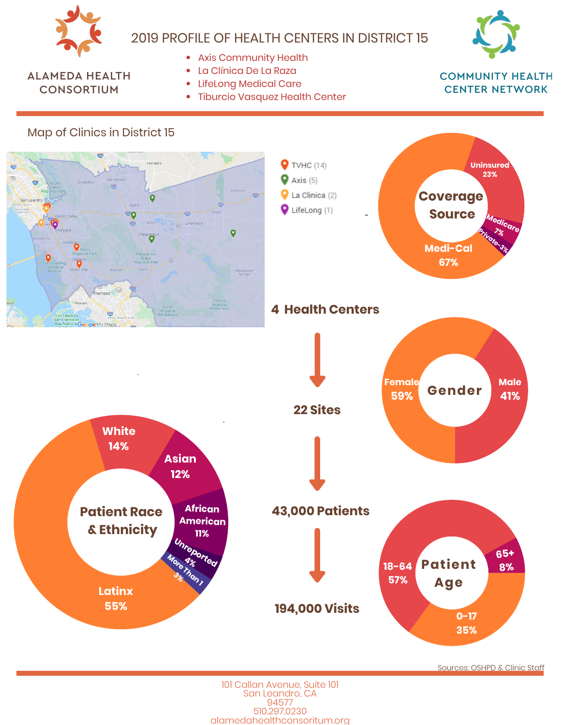

# 2019 PROFILE OF HEALTH CENTERS IN DISTRICT 15



#### **ALAMEDA HEALTH CONSORTIUM**

- Axis Community Health
- · La Clínica De La Raza
- LifeLong Medical Care
- Tiburcio Vasquez Health Center

**COMMUNITY HEALTH CENTER NETWORK** 



Sources: OSHPD & Clinic Staff

101 Callan Avenue, Suite 101 San Leandro, CA 94577 510.297.0230 alamedahealthconsoritum.org